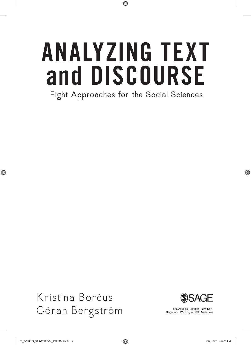# ANALYZING TEXT and DISCOURSE

 $\bigoplus$ 

Eight Approaches for the Social Sciences

Kristina Boréus Göran Bergström



Los Angeles | London | New Delhi<br>Singapore | Washington DC | Melbourne

⊕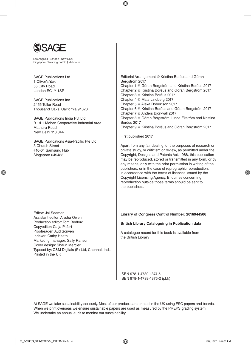

Los Angeles | London | New Delhi Singapore | Washington DC | Melbourne

SAGE Publications Ltd 1 Oliver's Yard 55 City Road London EC1Y 1SP

⊕

SAGE Publications Inc. 2455 Teller Road Thousand Oaks, California 91320

SAGE Publications India Pvt Ltd B 1/I 1 Mohan Cooperative Industrial Area Mathura Road New Delhi 110 044

SAGE Publications Asia-Pacific Pte Ltd 3 Church Street #10-04 Samsung Hub Singapore 049483

Editor: Jai Seaman Assistant editor: Alysha Owen Production editor: Tom Bedford Copyeditor: Catja Pafort Proofreader: Aud Scriven Indexer: Cathy Heath Marketing manager: Sally Ransom Cover design: Shaun Mercier Typeset by: C&M Digitals (P) Ltd, Chennai, India Printed in the UK

Editorial Arrangement © Kristina Boréus and Göran Bergström 2017 Chapter 1 Göran Bergström and Kristina Boréus 2017 Chapter 2 © Kristina Boréus and Göran Bergström 2017 Chapter 3 © Kristina Boréus 2017 Chapter 4 © Mats Lindberg 2017 Chapter 5 © Alexa Robertson 2017 Chapter 6 Kristina Boréus and Göran Bergström 2017 Chapter 7 © Anders Björkvall 2017 Chapter 8 Göran Bergström, Linda Ekström and Kristina Boréus 2017 Chapter 9 © Kristina Boréus and Göran Bergström 2017

#### First published 2017

Apart from any fair dealing for the purposes of research or private study, or criticism or review, as permitted under the Copyright, Designs and Patents Act, 1988, this publication may be reproduced, stored or transmitted in any form, or by any means, only with the prior permission in writing of the publishers, or in the case of reprographic reproduction, in accordance with the terms of licences issued by the Copyright Licensing Agency. Enquiries concerning reproduction outside those terms should be sent to the publishers.

#### **Library of Congress Control Number: 2016944506**

#### **British Library Cataloguing in Publication data**

A catalogue record for this book is available from the British Library

ISBN 978-1-4739-1374-5 ISBN 978-1-4739-1375-2 (pbk)

At SAGE we take sustainability seriously. Most of our products are printed in the UK using FSC papers and boards. When we print overseas we ensure sustainable papers are used as measured by the PREPS grading system. We undertake an annual audit to monitor our sustainability.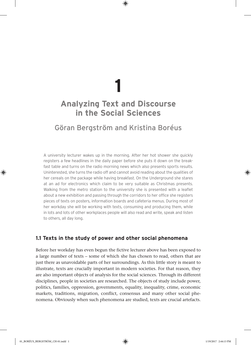## **Analyzing Text and Discourse in the Social Sciences**

**1**

 $\bigoplus$ 

### Göran Bergström and Kristina Boréus

A university lecturer wakes up in the morning. After her hot shower she quickly registers a few headlines in the daily paper before she puts it down on the breakfast table and turns on the radio morning news which also presents sports results. Uninterested, she turns the radio off and cannot avoid reading about the qualities of her cereals on the package while having breakfast. On the Underground she stares at an ad for electronics which claim to be very suitable as Christmas presents. Walking from the metro station to the university she is presented with a leaflet about a new exhibition and passing through the corridors to her office she registers pieces of texts on posters, information boards and cafeteria menus. During most of her workday she will be working with texts, consuming and producing them, while in lots and lots of other workplaces people will also read and write, speak and listen to others, all day long.

#### **1.1 Texts in the study of power and other social phenomena**

Before her workday has even begun the fictive lecturer above has been exposed to a large number of texts – some of which she has chosen to read, others that are just there as unavoidable parts of her surroundings. As this little story is meant to illustrate, texts are crucially important in modern societies. For that reason, they are also important objects of analysis for the social sciences. Through its different disciplines, people in societies are researched. The objects of study include power, politics, families, oppression, governments, equality, inequality, crime, economic markets, traditions, migration, conflict, consensus and many other social phenomena. Obviously when such phenomena are studied, texts are crucial artefacts.

♠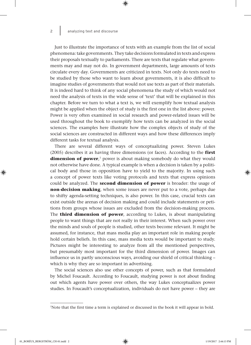Just to illustrate the importance of texts with an example from the list of social phenomena: take governments. They take decisions formulated in texts and express their proposals textually to parliaments. There are texts that regulate what governments may and may not do. In government departments, large amounts of texts circulate every day. Governments are criticized in texts. Not only do texts need to be studied by those who want to learn about governments, it is also difficult to imagine studies of governments that would not use texts as part of their materials. It is indeed hard to think of any social phenomena the study of which would not need the analysis of texts in the wide sense of 'text' that will be explained in this chapter. Before we turn to what a text is, we will exemplify how textual analysis might be applied when the object of study is the first one in the list above: power. Power is very often examined in social research and power-related issues will be used throughout the book to exemplify how texts can be analyzed in the social sciences. The examples here illustrate how the complex objects of study of the social sciences are constructed in different ways and how these differences imply different tasks for textual analysis.

 $\bigoplus$ 

There are several different ways of conceptualizing power. Steven Lukes (2005) describes it as having three dimensions (or faces). According to the **first dimension of power**,<sup>1</sup> power is about making somebody do what they would not otherwise have done. A typical example is when a decision is taken by a political body and those in opposition have to yield to the majority. In using such a concept of power texts like voting protocols and texts that express opinions could be analyzed. The **second dimension of power** is broader: the usage of **non-decision making**, when some issues are never put to a vote, perhaps due to shifty agenda-setting techniques, is also power. In this case, crucial texts can exist outside the arenas of decision making and could include statements or petitions from groups whose issues are excluded from the decision-making process. The **third dimension of power**, according to Lukes, is about manipulating people to want things that are not really in their interest. When such power over the minds and souls of people is studied, other texts become relevant. It might be assumed, for instance, that mass media play an important role in making people hold certain beliefs. In this case, mass media texts would be important to study. Pictures might be interesting to analyze from all the mentioned perspectives, but presumably most important for the third dimension of power. Images can influence us in partly unconscious ways, avoiding our shield of critical thinking – which is why they are so important in advertising.

The social sciences also use other concepts of power, such as that formulated by Michel Foucault. According to Foucault, studying power is not about finding out which agents have power over others, the way Lukes conceptualizes power studies. In Foucault's conceptualization, individuals do not have power – they are

♠

<sup>1</sup>Note that the first time a term is explained or discussed in the book it will appear in bold.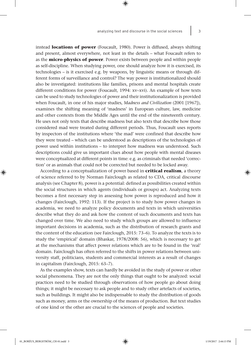$\bigoplus$ 

instead **locations of power** (Foucault, 1980). Power is diffused, always shifting and present, almost everywhere, not least in the details – what Foucault refers to as the **micro-physics of power**. Power exists between people and within people as self-discipline. When studying power, one should analyze how it is exercised, its technologies – is it exercised e.g. by weapons, by linguistic means or through different forms of surveillance and control? The way power is institutionalized should also be investigated: institutions like families, prisons and mental hospitals create different conditions for power (Foucault, 1994: xv–xvi). An example of how texts can be used to study technologies of power and their institutionalization is provided when Foucault, in one of his major studies, *Madness and Civilization* (2001 [1967]), examines the shifting meaning of 'madness' in European culture, law, medicine and other contexts from the Middle Ages until the end of the nineteenth century. He uses not only texts that describe madness but also texts that describe how those considered mad were treated during different periods. Thus, Foucault uses reports by inspectors of the institutions where 'the mad' were confined that describe how they were treated – which can be understood as descriptions of the technologies of power used within institutions – to interpret how madness was understood. Such descriptions could give us important clues about how people with mental diseases were conceptualized at different points in time: e.g. as criminals that needed 'correction' or as animals that could not be corrected but needed to be locked away.

According to a conceptualization of power based in **critical realism**, a theory of science referred to by Norman Fairclough as related to CDA, critical discourse analysis (see Chapter 8), power is a potential: defined as possibilities created within the social structures in which agents (individuals or groups) act. Analyzing texts becomes a first necessary step in assessing how power is reproduced and how it changes (Fairclough, 1992: 113). If the project is to study how power changes in academia, we need to analyze policy documents and texts in which universities describe what they do and ask how the content of such documents and texts has changed over time. We also need to study which groups are allowed to influence important decisions in academia, such as the distribution of research grants and the content of the education (see Fairclough, 2015: 73–6). To analyze the texts is to study the 'empirical' domain (Bhaskar, 1978/2008: 56), which is necessary to get at the mechanisms that affect power relations which are to be found in the 'real' domain. Fairclough has often referred to the shifts in power relations between university staff, politicians, students and commercial interests as a result of changes in capitalism (Fairclough, 2015: 63–7).

As the examples show, texts can hardly be avoided in the study of power or other social phenomena. They are not the only things that ought to be analyzed: social practices need to be studied through observations of how people go about doing things; it might be necessary to ask people and to study other artefacts of societies, such as buildings. It might also be indispensable to study the distribution of goods such as money, arms or the ownership of the means of production. But text studies of one kind or the other are crucial to the sciences of people and societies.

♠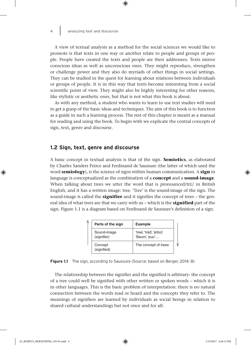A view of textual analysis as a method for the social sciences we would like to promote is that texts in one way or another relate to people and groups of people. People have created the texts and people are their addressees. Texts mirror conscious ideas as well as unconscious ones. They might reproduce, strengthen or challenge power and they also do myriads of other things in social settings. They can be studied in the quest for learning about relations between individuals or groups of people. It is in this way that texts become interesting from a social scientific point of view. They might also be highly interesting for other reasons, like stylistic or aesthetic ones, but that is not what this book is about.

⊕

As with any method, a student who wants to learn to use text studies will need to get a grasp of the basic ideas and techniques. The aim of this book is to function as a guide in such a learning process. The rest of this chapter is meant as a manual for reading and using the book. To begin with we explicate the central concepts of sign, text, genre and discourse.

#### **1.2 Sign, text, genre and discourse**

A basic concept in textual analysis is that of the sign. **Semiotics**, as elaborated by Charles Sanders Peirce and Ferdinand de Saussure (the latter of which used the word **semiology**), is the science of signs within human communication. A **sign** in language is conceptualized as the combination of a **concept** and a **sound-image**. When talking about trees we utter the word that is pronounced/triː/ in British English, and it has a written image: tree. 'Tree' is the sound-image of the sign. The sound-image is called the **signifier** and it signifies the concept of trees – the general idea of what trees are that we carry with us – which is the **signified** part of the sign. Figure 1.1 is a diagram based on Ferdinand de Saussure's definition of a sign.

| Parts of the sign          | <b>Example</b>                            |
|----------------------------|-------------------------------------------|
| Sound-image<br>(signifier) | 'tree', 'träd', 'árbol',<br>'Baum', 'puu' |
| Concept<br>(signified)     | The concept of trees                      |

**Figure 1.1** The sign, according to Saussure (Source: based on Berger, 2014: 8)

The relationship between the signifier and the signified is arbitrary: the concept of a tree could well be signified with other written or spoken words – which it is in other languages. This is the basic problem of interpretation: there is no natural connection between the words read or heard and the concepts they refer to. The meanings of signifiers are learned by individuals as social beings in relation to shared cultural understandings but not once and for all:

♠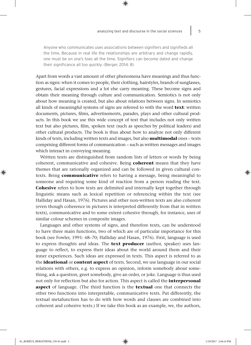Anyone who communicates uses associations between signifiers and signifieds all the time. Because in real life the relationships are arbitrary and change rapidly, one must be on one's toes all the time. Signifiers can become dated and change their significance all too quickly. (Berger, 2014: 8)

 $\bigoplus$ 

Apart from words a vast amount of other phenomena have meanings and thus function as signs: when it comes to people, their clothing, hairstyles, brands of sunglasses, gestures, facial expressions and a lot else carry meaning. These become signs and obtain their meaning through culture and communication. Semiotics is not only about how meaning is created, but also about relations between signs. In semiotics all kinds of meaningful systems of signs are referred to with the word **text**: written documents, pictures, films, advertisements, parades, plays and other cultural products. In this book we use this wide concept of text that includes not only written text but also pictures, film, spoken text (such as speeches by political leaders) and other cultural products. The book is thus about how to analyze not only different kinds of texts, including written texts and images, but also **multimodal** ones – texts comprising different forms of communication – such as written messages and images which interact in conveying meaning.

Written texts are distinguished from random lists of letters or words by being coherent, communicative and cohesive. Being **coherent** means that they have themes that are rationally organized and can be followed in given cultural contexts. Being **communicative** refers to having a message, being meaningful to someone and requiring some kind of reaction from a person reading the text. **Cohesive** refers to how texts are delimited and internally kept together through linguistic means such as lexical repetition or referencing within the text (see Halliday and Hasan, 1976). Pictures and other non-written texts are also coherent (even though coherence in pictures is interpreted differently from that in written texts), communicative and to some extent cohesive through, for instance, uses of similar colour schemes in composite images.

Languages and other systems of signs, and therefore texts, can be understood to have three main functions, two of which are of particular importance for this book (see Fowler, 1991: 68–70; Halliday and Hasan, 1976). First, language is used to express thoughts and ideas. The **text producer** (author, speaker) uses language to reflect, to express their ideas about the world around them and their inner experiences. Such ideas are expressed in texts. This aspect is referred to as the **ideational** or **content aspect** of texts. Second, we use language in our social relations with others, e.g. to express an opinion, inform somebody about something, ask a question, greet somebody, give an order, or joke. Language is thus used not only for reflection but also for action. This aspect is called the **interpersonal aspect** of language. (The third function is the **textual** one that connects the other two functions into interpretable, communicative texts. Put differently, the textual metafunction has to do with how words and clauses are combined into coherent and cohesive texts.) If we take this book as an example, we, the authors,

♠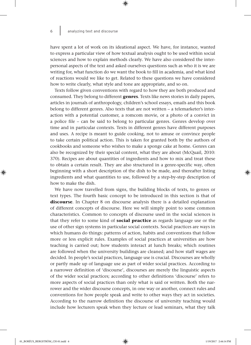have spent a lot of work on its ideational aspect. We have, for instance, wanted to express a particular view of how textual analysis ought to be used within social sciences and how to explain methods clearly. We have also considered the interpersonal aspects of the text and asked ourselves questions such as who it is we are writing for, what function do we want the book to fill in academia, and what kind of reactions would we like to get. Related to these questions we have considered how to write clearly, what style and tone are appropriate, and so on.

 $\bigoplus$ 

Texts follow given conventions with regard to how they are both produced and consumed. They belong to different **genres**. Texts like news stories in daily papers, articles in journals of anthropology, children's school essays, emails and this book belong to different genres. Also texts that are not written – a telemarketer's interaction with a potential customer, a romcom movie, or a photo of a convict in a police file – can be said to belong to particular genres. Genres develop over time and in particular contexts. Texts in different genres have different purposes and uses. A recipe is meant to guide cooking, not to amuse or convince people to take certain political action. This is taken for granted both by the authors of cookbooks and someone who wishes to make a sponge cake at home. Genres can also be recognized by their special content, what they are about (McQuail, 2010: 370). Recipes are about quantities of ingredients and how to mix and treat these to obtain a certain result. They are also structured in a genre-specific way, often beginning with a short description of the dish to be made, and thereafter listing ingredients and what quantities to use, followed by a step-by-step description of how to make the dish.

We have now travelled from signs, the building blocks of texts, to genres or text types. The fourth basic concept to be introduced in this section is that of discourse. In Chapter 8 on discourse analysis there is a detailed explanation of different concepts of discourse. Here we will simply point to some common characteristics. Common to concepts of discourse used in the social sciences is that they refer to some kind of **social practice** as regards language use or the use of other sign systems in particular social contexts. Social practices are ways in which humans do things: patterns of action, habits and conventions that follow more or less explicit rules. Examples of social practices at universities are how teaching is carried out; how students interact at lunch breaks; which routines are followed when the university buildings are cleaned; and how staff wages are decided. In people's social practices, language use is crucial. Discourses are wholly or partly made up of language use as part of wider social practices. According to a narrower definition of 'discourse', discourses are merely the linguistic aspects of the wider social practices; according to other definitions 'discourse' refers to more aspects of social practices than only what is said or written. Both the narrower and the wider discourse concepts, in one way or another, connect rules and conventions for how people speak and write to other ways they act in societies. According to the narrow definition the discourse of university teaching would include how lecturers speak when they lecture or lead seminars, what they talk

01\_BORÉUS\_BERGSTRÖM\_CH-01.indd 6 1/19/2017 2:44:14 PM

♠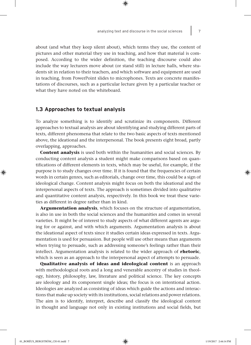#### analyzing text and discourse in the social sciences  $\begin{array}{|c|c|} \hline \quad & 7 \end{array}$

 $\bigoplus$ 

about (and what they keep silent about), which terms they use, the content of pictures and other material they use in teaching, and how that material is composed. According to the wider definition, the teaching discourse could also include the way lecturers move about (or stand still) in lecture halls, where students sit in relation to their teachers, and which software and equipment are used in teaching, from PowerPoint slides to microphones. Texts are concrete manifestations of discourses, such as a particular lecture given by a particular teacher or what they have noted on the whiteboard.

#### **1.3 Approaches to textual analysis**

To analyze something is to identify and scrutinize its components. Different approaches to textual analysis are about identifying and studying different parts of texts, different phenomena that relate to the two basic aspects of texts mentioned above, the ideational and the interpersonal. The book presents eight broad, partly overlapping, approaches.

**Content analysis** is used both within the humanities and social sciences. By conducting content analysis a student might make comparisons based on quantifications of different elements in texts, which may be useful, for example, if the purpose is to study changes over time. If it is found that the frequencies of certain words in certain genres, such as editorials, change over time, this could be a sign of ideological change. Content analysis might focus on both the ideational and the interpersonal aspects of texts. The approach is sometimes divided into qualitative and quantitative content analysis, respectively. In this book we treat these varieties as different in degree rather than in kind.

**Argumentation analysis**, which focuses on the structure of argumentation, is also in use in both the social sciences and the humanities and comes in several varieties. It might be of interest to study aspects of what different agents are arguing for or against, and with which arguments. Argumentation analysis is about the ideational aspect of texts since it studies certain ideas expressed in texts. Argumentation is used for persuasion. But people will use other means than arguments when trying to persuade, such as addressing someone's feelings rather than their intellect. Argumentation analysis is related to the wider approach of **rhetoric**, which is seen as an approach to the interpersonal aspect of attempts to persuade.

**Qualitative analysis of ideas and ideological content** is an approach with methodological roots and a long and venerable ancestry of studies in theology, history, philosophy, law, literature and political science. The key concepts are ideology and its component single ideas; the focus is on intentional action. Ideologies are analyzed as consisting of ideas which guide the actions and interactions that make up society with its institutions, social relations and power relations. The aim is to identify, interpret, describe and classify the ideological content in thought and language not only in existing institutions and social fields, but

♠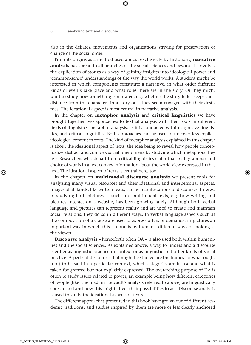also in the debates, movements and organizations striving for preservation or change of the social order.

 $\bigoplus$ 

From its origins as a method used almost exclusively by historians, **narrative analysis** has spread to all branches of the social sciences and beyond. It involves the explication of stories as a way of gaining insights into ideological power and 'common-sense' understandings of the way the world works. A student might be interested in which components constitute a narrative, in what order different kinds of events take place and what roles there are in the story. Or they might want to study how something is narrated, e.g. whether the story-teller keeps their distance from the characters in a story or if they seem engaged with their destinies. The ideational aspect is most central in narrative analysis.

In the chapter on **metaphor analysis** and **critical linguistics** we have brought together two approaches to textual analysis with their roots in different fields of linguistics: metaphor analysis, as it is conducted within cognitive linguistics, and critical linguistics. Both approaches can be used to uncover less explicit ideological content in texts. The kind of metaphor analysis explained in this chapter is about the ideational aspect of texts, the idea being to reveal how people conceptualize abstract and complex social phenomena by studying which metaphors they use. Researchers who depart from critical linguistics claim that both grammar and choice of words in a text convey information about the world view expressed in that text. The ideational aspect of texts is central here, too.

In the chapter on **multimodal discourse analysis** we present tools for analyzing many visual resources and their ideational and interpersonal aspects. Images of all kinds, like written texts, can be manifestations of discourses. Interest in studying both pictures as such and multimodal texts, e.g. how writing and pictures interact on a website, has been growing lately. Although both verbal language and pictures can represent reality and are used to create and maintain social relations, they do so in different ways. In verbal language aspects such as the composition of a clause are used to express offers or demands; in pictures an important way in which this is done is by humans' different ways of looking at the viewer.

**Discourse analysis** – henceforth often DA – is also used both within humanities and the social sciences. As explained above, a way to understand a discourse is either as linguistic practice in context or as linguistic and other kinds of social practice. Aspects of discourses that might be studied are the frames for what ought (not) to be said in a particular context, which categories are in use and what is taken for granted but not explicitly expressed. The overarching purpose of DA is often to study issues related to power, an example being how different categories of people (like 'the mad' in Foucault's analysis referred to above) are linguistically constructed and how this might affect their possibilities to act. Discourse analysis is used to study the ideational aspects of texts.

The different approaches presented in this book have grown out of different academic traditions, and studies inspired by them are more or less clearly anchored

01\_BORÉUS\_BERGSTRÖM\_CH-01.indd 8 1/19/2017 2:44:14 PM

♠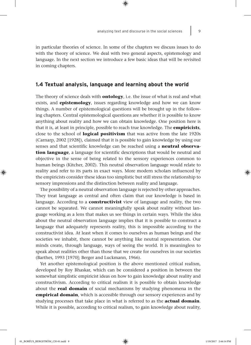in particular theories of science. In some of the chapters we discuss issues to do with the theory of science. We deal with two general aspects, epistemology and language. In the next section we introduce a few basic ideas that will be revisited in coming chapters.

 $\bigoplus$ 

#### **1.4 Textual analysis, language and learning about the world**

The theory of science deals with **ontology**, i.e. the issue of what is real and what exists, and **epistemology**, issues regarding knowledge and how we can know things. A number of epistemological questions will be brought up in the following chapters. Central epistemological questions are whether it is possible to know anything about reality and how we can obtain knowledge. One position here is that it is, at least in principle, possible to reach true knowledge. The **empiricists**, close to the school of **logical positivism** that was active from the late 1920s (Carnarp, 2002 [1928]), claimed that it is possible to gain knowledge by using our senses and that scientific knowledge can be reached using a **neutral observation language**, a language for scientific descriptions that would be neutral and objective in the sense of being related to the sensory experiences common to human beings (Kitcher, 2002). This neutral observation language would relate to reality and refer to its parts in exact ways. More modern scholars influenced by the empiricists consider these ideas too simplistic but still stress the relationship to sensory impressions and the distinction between reality and language.

The possibility of a neutral observation language is rejected by other approaches. They treat language as central and often claim that our knowledge is based in language. According to a **constructivist** view of language and reality, the two cannot be separated. We cannot meaningfully speak about reality without language working as a lens that makes us see things in certain ways. While the idea about the neutral observation language implies that it is possible to construct a language that adequately represents reality, this is impossible according to the constructivist idea. At least when it comes to ourselves as human beings and the societies we inhabit, there cannot be anything like neutral representation. Our minds create, through language, ways of seeing the world. It is meaningless to speak about realities other than those that we create for ourselves in our societies (Barthes, 1993 [1970]; Berger and Luckmann, 1966).

Yet another epistemological position is the above mentioned critical realism, developed by Roy Bhaskar, which can be considered a position in between the somewhat simplistic empiricist ideas on how to gain knowledge about reality and constructivism. According to critical realism it is possible to obtain knowledge about the **real domain** of social mechanisms by studying phenomena in the **empirical domain**, which is accessible through our sensory experiences and by studying processes that take place in what is referred to as the **actual domain**. While it is possible, according to critical realism, to gain knowledge about reality,

♠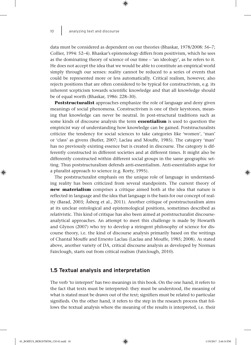data must be considered as dependent on our theories (Bhaskar, 1978/2008: 56–7; Collier, 1994: 52–4). Bhaskar's epistemology differs from positivism, which he sees as the dominating theory of science of our time – 'an ideology', as he refers to it. He does not accept the idea that we would be able to constitute an empirical world simply through our senses: reality cannot be reduced to a series of events that could be represented more or less automatically. Critical realism, however, also rejects positions that are often considered to be typical for constructivism, e.g. its inherent scepticism towards scientific knowledge and that all knowledge should be of equal worth (Bhaskar, 1986: 228–30).

 $\bigoplus$ 

**Poststructuralist** approaches emphasize the role of language and deny given meanings of social phenomena. Constructivism is one of their keystones, meaning that knowledge can never be neutral. In post-structural traditions such as some kinds of discourse analysis the term **essentialism** is used to question the empiricist way of understanding how knowledge can be gained. Poststructuralists criticize the tendency for social sciences to take categories like 'women', 'man' or 'class' as givens (Butler, 2007; Laclau and Mouffe, 1985). The category 'man' has no previously existing essence but is created in discourse. The category is differently constructed in different societies and at different times. It might also be differently constructed within different social groups in the same geographic setting. Thus poststructuralism defends anti-essentialism. Anti-essentialists argue for a pluralist approach to science (e.g. Rorty, 1995).

The poststructuralist emphasis on the unique role of language in understanding reality has been criticized from several standpoints. The current theory of **new materialism** comprises a critique aimed both at the idea that nature is reflected in language and the idea that language is the basis for our concept of reality (Barad, 2003; Åsberg et al., 2011). Another critique of poststructuralism aims at its unclear ontological and epistemological positions, sometimes described as relativistic. This kind of critique has also been aimed at poststructuralist discourseanalytical approaches. An attempt to meet this challenge is made by Howarth and Glynos (2007) who try to develop a stringent philosophy of science for discourse theory, i.e. the kind of discourse analysis primarily based on the writings of Chantal Mouffe and Ernesto Laclau (Laclau and Mouffe, 1985; 2008). As stated above, another variety of DA, critical discourse analysis as developed by Norman Fairclough, starts out from critical realism (Fairclough, 2010).

#### **1.5 Textual analysis and interpretation**

The verb 'to interpret' has two meanings in this book. On the one hand, it refers to the fact that texts must be interpreted: they must be understood, the meaning of what is stated must be drawn out of the text; signifiers must be related to particular signifieds. On the other hand, it refers to the step in the research process that follows the textual analysis where the meaning of the results is interpreted, i.e. their

♠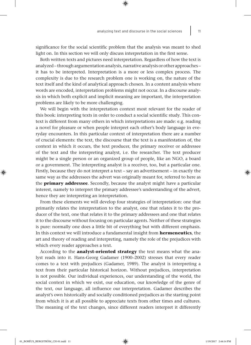significance for the social scientific problem that the analysis was meant to shed light on. In this section we will only discuss interpretation in the first sense.

 $\bigoplus$ 

Both written texts and pictures need interpretation. Regardless of how the text is analyzed – through argumentation analysis, narrative analysis or other approaches – it has to be interpreted. Interpretation is a more or less complex process. The complexity is due to the research problem one is working on, the nature of the text itself and the kind of analytical approach chosen. In a content analysis where words are encoded, interpretation problems might not occur. In a discourse analysis in which both explicit and implicit meaning are important, the interpretation problems are likely to be more challenging.

We will begin with the interpretation context most relevant for the reader of this book: interpreting texts in order to conduct a social scientific study. This context is different from many others in which interpretations are made: e.g. reading a novel for pleasure or when people interpret each other's body language in everyday encounters. In this particular context of interpretation there are a number of crucial elements: the text, the discourse that the text is a manifestation of, the context in which it occurs, the text producer, the primary receiver or addressee of the text and the interpreting analyst, i.e. the researcher. The text producer might be a single person or an organized group of people, like an NGO, a board or a government. The interpreting analyst is a receiver, too, but a particular one. Firstly, because they do not interpret a text – say an advertisement – in exactly the same way as the addressees the advert was originally meant for, referred to here as the **primary addressee**. Secondly, because the analyst might have a particular interest, namely to interpret the primary addressee's understanding of the advert, hence they are interpreting an interpretation.

From these elements we will develop four strategies of interpretation: one that primarily relates the interpretation to the analyst, one that relates it to the producer of the text, one that relates it to the primary addressees and one that relates it to the discourse without focusing on particular agents. Neither of these strategies is pure: normally one does a little bit of everything but with different emphasis. In this context we will introduce a fundamental insight from **hermeneutics**, the art and theory of reading and interpreting, namely the role of the prejudices with which every reader approaches a text.

According to the **analyst-oriented strategy** the text means what the analyst reads into it. Hans-Georg Gadamer (1900–2002) stresses that every reader comes to a text with prejudices (Gadamer, 1989). The analyst is interpreting a text from their particular historical horizon. Without prejudices, interpretation is not possible. Our individual experiences, our understanding of the world, the social context in which we exist, our education, our knowledge of the genre of the text, our language, all influence our interpretation. Gadamer describes the analyst's own historically and socially conditioned prejudices as the starting point from which it is at all possible to appreciate texts from other times and cultures. The meaning of the text changes, since different readers interpret it differently

♠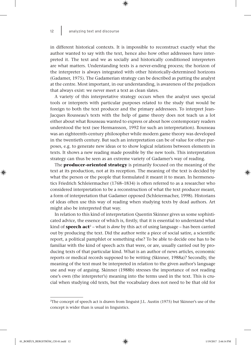in different historical contexts. It is impossible to reconstruct exactly what the author wanted to say with the text, hence also how other addressees have interpreted it. The text and we as socially and historically conditioned interpreters are what matters. Understanding texts is a never-ending process; the horizon of the interpreter is always integrated with other historically-determined horizons (Gadamer, 1975). The Gadamerian strategy can be described as putting the analyst at the centre. Most important, in our understanding, is awareness of the prejudices that always exist: we never meet a text as clean slates.

 $\bigoplus$ 

A variety of this interpretative strategy occurs when the analyst uses special tools or interprets with particular purposes related to the study that would be foreign to both the text producer and the primary addressees. To interpret Jean-Jacques Rousseau's texts with the help of game theory does not teach us a lot either about what Rousseau wanted to express or about how contemporary readers understood the text (see Hermansson, 1992 for such an interpretation). Rousseau was an eighteenth-century philosopher while modern game theory was developed in the twentieth century. But such an interpretation can be of value for other purposes, e.g. to generate new ideas or to show logical relations between elements in texts. It shows a new reading made possible by the new tools. This interpretation strategy can thus be seen as an extreme variety of Gadamer's way of reading.

The **producer-oriented strategy** is primarily focused on the meaning of the text at its production, not at its reception. The meaning of the text is decided by what the person or the people that formulated it meant it to mean. In hermeneutics Friedrich Schleiermacher (1768–1834) is often referred to as a researcher who considered interpretation to be a reconstruction of what the text producer meant, a form of interpretation that Gadamer opposed (Schleiermacher, 1998). Historians of ideas often use this way of reading when studying texts by dead authors. Art might also be interpreted that way.

In relation to this kind of interpretation Quentin Skinner gives us some sophisticated advice, the essence of which is, firstly, that it is essential to understand what kind of **speech act**2 – what is *done* by this act of using language – has been carried out by producing the text. Did the author write a piece of social satire, a scientific report, a political pamphlet or something else? To be able to decide one has to be familiar with the kind of speech acts that were, or are, usually carried out by producing texts of that particular kind. What is an author of news articles, economic reports or medical records supposed to be writing (Skinner, 1988a)? Secondly, the meaning of the text must be interpreted in relation to the given author's language use and way of arguing. Skinner (1988b) stresses the importance of not reading one's own (the interpreter's) meaning into the terms used in the text. This is crucial when studying old texts, but the vocabulary does not need to be that old for

01\_BORÉUS\_BERGSTRÖM\_CH-01.indd 12 1/19/2017 2:44:14 PM

⊕

<sup>&</sup>lt;sup>2</sup>The concept of speech act is drawn from linguist J.L. Austin (1975) but Skinner's use of the concept is wider than is usual in linguistics.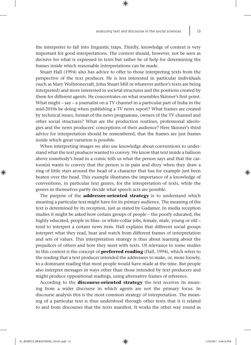the interpreter to fall into linguistic traps. Thirdly, knowledge of context is very important for good interpretations. The context should, however, not be seen as decisive for what is expressed in texts but rather be of help for determining the frames inside which reasonable interpretations can be made.

 $\bigoplus$ 

Stuart Hall (1994) also has advice to offer to those interpreting texts from the perspective of the text producer. He is less interested in particular individuals (such as Mary Wollstonecraft, John Stuart Mill or whatever author's texts are being interpreted) and more interested in societal structures and the positions created by them for different agents. He concentrates on what resembles Skinner's first point. What might – say – a journalist on a TV channel in a particular part of India in the mid-2010s be doing when publishing a TV news report? What frames are created by technical issues, format of the news programme, owners of the TV channel and other social structures? What are the production routines, professional ideologies and the news producers' conceptions of their audience? Here Skinner's third advice for interpretation should be remembered, that the frames are just frames inside which great variation is possible.

When interpreting images we also use knowledge about conventions to understand what the text producer wanted to convey. We know that text inside a balloon above somebody's head in a comic tells us what the person says and that the cartoonist wants to convey that the person is in pain and dizzy when they draw a ring of little stars around the head of a character that has for example just been beaten over the head. This example illustrates the importance of a knowledge of conventions, in particular text genres, for the interpretation of texts, while the genres in themselves partly decide what speech acts are possible.

The purpose of the **addressee-oriented strategy** is to understand which meaning a particular text might have for its primary audience. The meaning of the text is determined by its reception, just as stated by Gadamer. In media reception studies it might be asked how certain groups of people – the poorly educated, the highly educated, people in blue- or white-collar jobs, female, male, young or old – tend to interpret a certain news item. Hall explains that different social groups interpret what they read, hear and watch from different frames of interpretation and sets of values. This interpretation strategy is thus about learning about the prejudices of others and how they meet with texts. Of relevance to some studies in this context is the concept of **preferred reading** (Hall, 1994), which refers to the reading that a text producer intended the addressees to make, or, more loosely, to a dominant reading that most people would have made at the time. But people also interpret messages in ways other than those intended by text producers and might produce oppositional readings, using alternative frames of reference.

According to the **discourse-oriented strategy** the text receives its meaning from a wider discourse in which agents are not the primary focus. In discourse analysis this is the most common strategy of interpretation. The meaning of a particular text is thus understood through other texts that it is related to and from discourses that the texts manifest. It works the other way round as

♠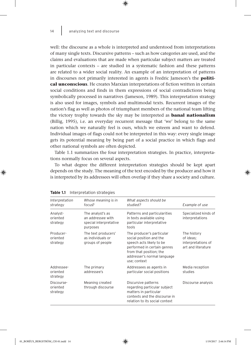well: the discourse as a whole is interpreted and understood from interpretations of many single texts. Discursive patterns – such as how categories are used, and the claims and evaluations that are made when particular subject matters are treated in particular contexts – are studied in a systematic fashion and these patterns are related to a wider social reality. An example of an interpretation of patterns in discourses not primarily interested in agents is Fredric Jameson's the **political unconscious**. He creates Marxian interpretations of fiction written in certain social conditions and finds in them expressions of social contradictions being symbolically processed in narratives (Jameson, 1989). This interpretation strategy is also used for images, symbols and multimodal texts. Recurrent images of the nation's flag as well as photos of triumphant members of the national team lifting the victory trophy towards the sky may be interpreted as **banal nationalism** (Billig, 1995), i.e. an everyday recurrent message that 'we' belong to the same nation which we naturally feel is ours, which we esteem and want to defend. Individual images of flags could not be interpreted in this way: every single image gets its potential meaning by being part of a social practice in which flags and other national symbols are often depicted.

 $\bigoplus$ 

Table 1.1 summarizes the four interpretation strategies. In practice, interpretations normally focus on several aspects.

To what degree the different interpretation strategies should be kept apart depends on the study. The meaning of the text encoded by the producer and how it is interpreted by its addressees will often overlap if they share a society and culture.

| Interpretation<br>strategy         | Whose meaning is in<br>focus?                                               | What aspects should be<br>studied?                                                                                                                                                        | Example of use                                                       |
|------------------------------------|-----------------------------------------------------------------------------|-------------------------------------------------------------------------------------------------------------------------------------------------------------------------------------------|----------------------------------------------------------------------|
| Analyst-<br>oriented<br>strategy   | The analyst's as<br>an addressee with<br>special interpretative<br>purposes | Patterns and particularities<br>in texts available using<br>particular interpretative<br>tools                                                                                            | Specialized kinds of<br>interpretations                              |
| Producer-<br>oriented<br>strategy  | The text producers'<br>as individuals or<br>groups of people                | The producer's particular<br>social position and the<br>speech acts likely to be<br>performed in certain genres<br>from that position; the<br>addresser's normal language<br>use: context | The history<br>of ideas;<br>interpretations of<br>art and literature |
| Addressee-<br>oriented<br>strategy | The primary<br>addressee's                                                  | Addressees as agents in<br>particular social positions                                                                                                                                    | Media reception<br>studies                                           |
| Discourse-<br>oriented<br>strategy | Meaning created<br>through discourse                                        | Discursive patterns<br>regarding particular subject<br>matters in particular<br>contexts and the discourse in<br>relation to its social context                                           | Discourse analysis                                                   |

#### **Table 1.1** Interpretation strategies

⊕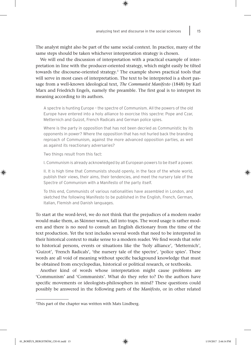The analyst might also be part of the same social context. In practice, many of the same steps should be taken whichever interpretation strategy is chosen.

 $\textcircled{\scriptsize{*}}$ 

We will end the discussion of interpretation with a practical example of interpretation in line with the producer-oriented strategy, which might easily be tilted towards the discourse-oriented strategy.3 The example shows practical tools that will serve in most cases of interpretation. The text to be interpreted is a short passage from a well-known ideological text, *The Communist Manifesto* (1848) by Karl Marx and Friedrich Engels, namely the preamble. The first goal is to interpret its meaning according to its authors.

A spectre is hunting Europe – the spectre of Communism. All the powers of the old Europe have entered into a holy alliance to exorcise this spectre: Pope and Czar, Metternich and Guizot, French Radicals and German police spies.

Where is the party in opposition that has not been decried as Communistic by its opponents in power? Where the opposition that has not hurled back the branding reproach of Communism, against the more advanced opposition parties, as well as against its reactionary adversaries?

Two things result from this fact:

♠

I. Communism is already acknowledged by all European powers to be itself a power.

II. It is high time that Communists should openly, in the face of the whole world, publish their views, their aims, their tendencies, and meet the nursery tale of the Spectre of Communism with a Manifesto of the party itself.

To this end, Communists of various nationalities have assembled in London, and sketched the following Manifesto to be published in the English, French, German, Italian, Flemish and Danish languages.

To start at the word-level, we do not think that the prejudices of a modern reader would make them, as Skinner warns, fall into traps. The word usage is rather modern and there is no need to consult an English dictionary from the time of the text production. Yet the text includes several words that need to be interpreted in their historical context to make sense to a modern reader. We find words that refer to historical persons, events or situations like the 'holy alliance', 'Metternich', 'Guizot', 'French Radicals', 'the nursery tale of the spectre', 'police spies'. These words are all void of meaning without specific background knowledge that must be obtained from encyclopedias, historical or political research, or textbooks.

Another kind of words whose interpretation might cause problems are 'Communism' and 'Communists'. What do they refer to? Do the authors have specific movements or ideologists-philosophers in mind? These questions could possibly be answered in the following parts of the *Manifesto*, or in other related

<sup>&</sup>lt;sup>3</sup>This part of the chapter was written with Mats Lindberg.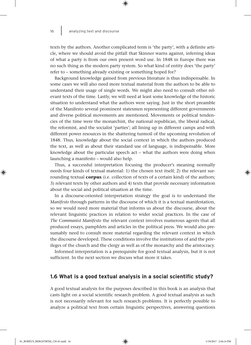texts by the authors. Another complicated term is 'the party', with a definite article, where we should avoid the pitfall that Skinner warns against, inferring ideas of what a party is from our own present word use. In 1848 in Europe there was no such thing as the modern party system. So what kind of entity does 'the party' refer to – something already existing or something hoped for?

 $\bigoplus$ 

Background knowledge gained from previous literature is thus indispensable. In some cases we will also need more textual material from the authors to be able to understand their usage of single words. We might also need to consult other relevant texts of the time. Lastly, we will need at least some knowledge of the historic situation to understand what the authors were saying. Just in the short preamble of the Manifesto several prominent statesmen representing different governments and diverse political movements are mentioned. Movements or political tendencies of the time were the monarchist, the national republican, the liberal radical, the reformist, and the socialist 'parties'; all lining up in different camps and with different power resources in the shattering turmoil of the upcoming revolution of 1848. Thus, knowledge about the social context in which the authors produced the text, as well as about their standard use of language, is indispensable. More knowledge about the particular speech act – what the authors were doing when launching a manifesto – would also help.

Thus, a successful interpretation focusing the producer's meaning normally needs four kinds of textual material: 1) the chosen text itself; 2) the relevant surrounding textual **corpus** (i.e. collection of texts of a certain kind) of the authors; 3) relevant texts by other authors and 4) texts that provide necessary information about the social and political situation at the time.

In a discourse-oriented interpretation strategy the goal is to understand the *Manifesto* through patterns in the discourse of which it is a textual manifestation, so we would need more material that informs us about the discourse, about the relevant linguistic practices in relation to wider social practices. In the case of *The Communist Manifesto* the relevant context involves numerous agents that all produced essays, pamphlets and articles in the political press. We would also presumably need to consult more material regarding the relevant context in which the discourse developed. These conditions involve the institutions of and the privileges of the church and the clergy as well as of the monarchy and the aristocracy.

Informed interpretation is a prerequisite for good textual analysis, but it is not sufficient. In the next section we discuss what more it takes.

#### **1.6 What is a good textual analysis in a social scientific study?**

A good textual analysis for the purposes described in this book is an analysis that casts light on a social scientific research problem. A good textual analysis as such is not necessarily relevant for such research problems. It is perfectly possible to analyze a political text from certain linguistic perspectives, answering questions

01\_BORÉUS\_BERGSTRÖM\_CH-01.indd 16 1/19/2017 2:44:14 PM

♠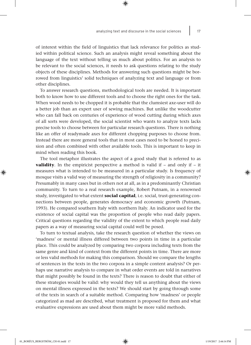of interest within the field of linguistics that lack relevance for politics as studied within political science. Such an analysis might reveal something about the language of the text without telling us much about politics. For an analysis to be relevant to the social sciences, it needs to ask questions relating to the study objects of these disciplines. Methods for answering such questions might be borrowed from linguistics' solid techniques of analyzing text and language or from

 $\bigoplus$ 

To answer research questions, methodological tools are needed. It is important both to know how to use different tools and to choose the right ones for the task. When wood needs to be chopped it is probable that the clumsiest axe-user will do a better job than an expert user of sewing machines. But unlike the woodcutter who can fall back on centuries of experience of wood cutting during which axes of all sorts were developed, the social scientist who wants to analyze texts lacks precise tools to choose between for particular research questions. There is nothing like an offer of readymade axes for different chopping purposes to choose from. Instead there are more general tools that in most cases need to be honed to precision and often combined with other available tools. This is important to keep in mind when reading this book.

The tool metaphor illustrates the aspect of a good study that is referred to as **validity**. In the empiricist perspective a method is valid if – and only if – it measures what is intended to be measured in a particular study. Is frequency of mosque visits a valid way of measuring the strength of religiosity in a community? Presumably in many cases but in others not at all, as in a predominantly Christian community. To turn to a real research example, Robert Putnam, in a renowned study, investigated to what extent **social capital**, i.e. social, trust-generating connections between people, generates democracy and economic growth (Putnam, 1993). He compared southern Italy with northern Italy. An indicator used for the existence of social capital was the proportion of people who read daily papers. Critical questions regarding the validity of the extent to which people read daily papers as a way of measuring social capital could well be posed.

To turn to textual analysis, take the research question of whether the views on 'madness' or mental illness differed between two points in time in a particular place. This could be analyzed by comparing two corpora including texts from the same genre and kind of context from the different points in time. There are more or less valid methods for making this comparison. Should we compare the lengths of sentences in the texts in the two corpora in a simple content analysis? Or perhaps use narrative analysis to compare in what order events are told in narratives that might possibly be found in the texts? There is reason to doubt that either of these strategies would be valid: why would they tell us anything about the views on mental illness expressed in the texts? We should start by going through some of the texts in search of a suitable method. Comparing how 'madness' or people categorized as mad are described, what treatment is proposed for them and what evaluative expressions are used about them might be more valid methods.

other disciplines.

♠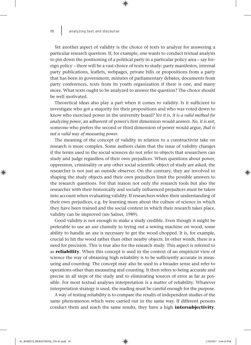Yet another aspect of validity is the choice of texts to analyze for answering a particular research question. If, for example, one wants to conduct textual analysis to pin down the positioning of a political party in a particular policy area – say foreign policy – there will be a vast choice of texts to study: party manifestos, internal party publications, leaflets, webpages, private bills or propositions from a party that has been in government, minutes of parliamentary debates, documents from party conferences, texts from its youth organization if there is one, and many more. What texts ought to be analyzed to answer the question? The choice should be well motivated.

 $\bigoplus$ 

Theoretical ideas also play a part when it comes to validity. Is it sufficient to investigate who got a majority for their propositions and who was voted down to know who exercised power in the university board? *Yes it is*, *it is a valid method for analyzing power*, an adherent of power's first dimension would answer. *No, it is not*, someone who prefers the second or third dimension of power would argue, *that is not a valid way of measuring power*.

The meaning of the concept of validity in relation to a constructivist take on research is more complex. Some authors claim that the issue of validity changes if the terms used in the social sciences do not refer to objects that researchers can study and judge regardless of their own prejudices. When questions about power, oppression, criminality or any other social scientific object of study are asked, the researcher is not just an outside observer. On the contrary, they are involved in shaping the study objects and their own prejudices limit the possible answers to the research questions. For that reason not only the research tools but also the researcher with their historically and socially influenced prejudices must be taken into account when evaluating validity. If researchers widen their understanding of their own prejudices, e.g. by learning more about the culture of science in which they have been trained and the social context in which their research takes place, validity can be improved (see Salner, 1989).

Good validity is not enough to make a study credible. Even though it might be preferable to use an axe clumsily to trying out a sewing machine on wood, some ability to handle an axe is necessary to get the wood chopped. It is, for example, crucial to hit the wood rather than other nearby objects. In other words, there is a need for precision. This is true also for the research study. This aspect is referred to as **reliability**. When this concept is used in the context of an empiricist view of science the way of obtaining high reliability is to be sufficiently accurate in measuring and counting. The concept may also be used in a broader sense and refer to operations other than measuring and counting. It then refers to being accurate and precise in all steps of the study and to eliminating sources of error as far as possible. For most textual analyses interpretation is a matter of reliability. Whatever interpretation strategy is used, the reading must be careful enough for the purpose.

A way of testing reliability is to compare the results of independent studies of the same phenomenon which were carried out in the same way. If different persons conduct them and reach the same results, they have a high **intersubjectivity**.

01\_BORÉUS\_BERGSTRÖM\_CH-01.indd 18 1/19/2017 2:44:14 PM

♠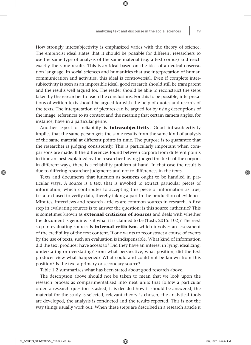#### analyzing text and discourse in the social sciences  $\vert$  19

 $\bigoplus$ 

How strongly intersubjectivity is emphasized varies with the theory of science. The empiricist ideal states that it should be possible for different researchers to use the same type of analysis of the same material (e.g. a text corpus) and reach exactly the same results. This is an ideal based on the idea of a neutral observation language. In social sciences and humanities that use interpretation of human communication and activities, this ideal is controversial. Even if complete intersubjectivity is seen as an impossible ideal, good research should still be transparent and the results well argued for. The reader should be able to reconstruct the steps taken by the researcher to reach the conclusions. For this to be possible, interpretations of written texts should be argued for with the help of quotes and records of the texts. The interpretation of pictures can be argued for by using descriptions of the image, references to its context and the meaning that certain camera angles, for instance, have in a particular genre.

Another aspect of reliability is **intrasubjectivity**. Good intrasubjectivity implies that the same person gets the same results from the same kind of analysis of the same material at different points in time. The purpose is to guarantee that the researcher is judging consistently. This is particularly important when comparisons are made. If the differences found between corpora from different points in time are best explained by the researcher having judged the texts of the corpora in different ways, there is a reliability problem at hand. In that case the result is due to differing researcher judgments and not to differences in the texts.

Texts and documents that function as **sources** ought to be handled in particular ways. A source is a text that is invoked to extract particular pieces of information, which contributes to accepting this piece of information as true; i.e. a text used to verify data, thereby taking a part in the production of evidence. Minutes, interviews and research articles are common sources in research. A first step in evaluating sources is to answer the question: is this source authentic? This is sometimes known as **external criticism of sources** and deals with whether the document is genuine: is it what it is claimed to be (Tosh, 2015: 102)? The next step in evaluating sources is **internal criticism**, which involves an assessment of the credibility of the text content. If one wants to reconstruct a course of events by the use of texts, such an evaluation is indispensable. What kind of information did the text producer have access to? Did they have an interest in lying, idealizing, understating or overstating? From what perspective, what position, did the text producer view what happened? What could and could not be known from this position? Is the text a primary or secondary source?

Table 1.2 summarizes what has been stated about good research above.

The description above should not be taken to mean that we look upon the research process as compartmentalized into neat units that follow a particular order: a research question is asked, it is decided how it should be answered, the material for the study is selected, relevant theory is chosen, the analytical tools are developed, the analysis is conducted and the results reported. This is not the way things usually work out. When these steps are described in a research article it

♠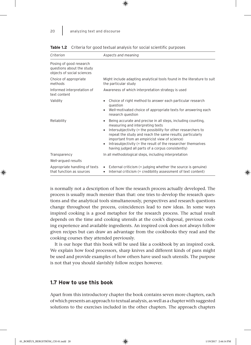| Criterion                                                                          | Aspects and meaning                                                                                                                                                                                                                                                                                                                                                                                                                         |  |
|------------------------------------------------------------------------------------|---------------------------------------------------------------------------------------------------------------------------------------------------------------------------------------------------------------------------------------------------------------------------------------------------------------------------------------------------------------------------------------------------------------------------------------------|--|
| Posing of good research<br>questions about the study<br>objects of social sciences |                                                                                                                                                                                                                                                                                                                                                                                                                                             |  |
| Choice of appropriate<br>methods                                                   | Might include adapting analytical tools found in the literature to suit<br>the particular study                                                                                                                                                                                                                                                                                                                                             |  |
| Informed interpretation of<br>text content                                         | Awareness of which interpretation strategy is used                                                                                                                                                                                                                                                                                                                                                                                          |  |
| Validity                                                                           | Choice of right method to answer each particular research<br>question<br>Well-motivated choice of appropriate texts for answering each<br>$\bullet$<br>research question                                                                                                                                                                                                                                                                    |  |
| Reliability                                                                        | Being accurate and precise in all steps, including counting,<br>$\bullet$<br>measuring and interpreting texts<br>Intersubjectivity (= the possibility for other researchers to<br>$\bullet$<br>repeat the study and reach the same results; particularly<br>important from an empiricist view of science)<br>Intrasubjectivity (= the result of the researcher themselves<br>$\bullet$<br>having judged all parts of a corpus consistently) |  |
| Transparency                                                                       | In all methodological steps, including interpretation                                                                                                                                                                                                                                                                                                                                                                                       |  |
| Well-argued results                                                                |                                                                                                                                                                                                                                                                                                                                                                                                                                             |  |
| Appropriate handling of texts<br>that function as sources                          | External criticism (= judging whether the source is genuine)<br>$\bullet$<br>Internal criticism (= credibility assessment of text content)<br>$\bullet$                                                                                                                                                                                                                                                                                     |  |

**Table 1.2** Criteria for good textual analysis for social scientific purposes

 $\textcircled{\scriptsize{*}}$ 

is normally not a description of how the research process actually developed. The process is usually much messier than that: one tries to develop the research questions and the analytical tools simultaneously, perspectives and research questions change throughout the process, coincidences lead to new ideas. In some ways inspired cooking is a good metaphor for the research process. The actual result depends on the time and cooking utensils at the cook's disposal, previous cooking experience and available ingredients. An inspired cook does not always follow given recipes but can draw an advantage from the cookbooks they read and the cooking courses they attended previously.

It is our hope that this book will be used like a cookbook by an inspired cook. We explain how food processors, sharp knives and different kinds of pans might be used and provide examples of how others have used such utensils. The purpose is not that you should slavishly follow recipes however.

#### **1.7 How to use this book**

Apart from this introductory chapter the book contains seven more chapters, each of which presents an approach to textual analysis, as well as a chapter with suggested solutions to the exercises included in the other chapters. The approach chapters

01\_BORÉUS\_BERGSTRÖM\_CH-01.indd 20 1/19/2017 2:44:14 PM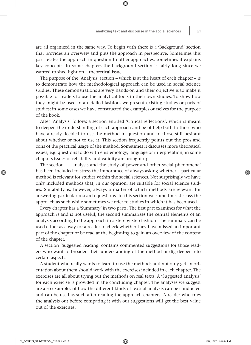are all organized in the same way. To begin with there is a 'Background' section that provides an overview and puts the approach in perspective. Sometimes this part relates the approach in question to other approaches, sometimes it explains key concepts. In some chapters the background section is fairly long since we wanted to shed light on a theoretical issue.

 $\bigoplus$ 

The purpose of the 'Analysis' section – which is at the heart of each chapter – is to demonstrate how the methodological approach can be used in social science studies. These demonstrations are very hands-on and their objective is to make it possible for readers to use the analytical tools in their own studies. To show how they might be used in a detailed fashion, we present existing studies or parts of studies; in some cases we have constructed the examples ourselves for the purpose of the book.

After 'Analysis' follows a section entitled 'Critical reflections', which is meant to deepen the understanding of each approach and be of help both to those who have already decided to use the method in question and to those still hesitant about whether or not to use it. This section frequently points out the pros and cons of the practical usage of the method. Sometimes it discusses more theoretical issues, e.g. questions to do with epistemology, language or interpretation; in some chapters issues of reliability and validity are brought up.

The section '… analysis and the study of power and other social phenomena' has been included to stress the importance of always asking whether a particular method is relevant for studies within the social sciences. Not surprisingly we have only included methods that, in our opinion, are suitable for social science studies. Suitability is, however, always a matter of which methods are relevant for answering particular research questions. In this section we sometimes discuss the approach as such while sometimes we refer to studies in which it has been used.

Every chapter has a 'Summary' in two parts. The first part examines for what the approach is and is not useful, the second summarizes the central elements of an analysis according to the approach in a step-by-step fashion. The summary can be used either as a way for a reader to check whether they have missed an important part of the chapter or be read at the beginning to gain an overview of the content of the chapter.

A section 'Suggested reading' contains commented suggestions for those readers who want to broaden their understanding of the method or dig deeper into certain aspects.

A student who really wants to learn to use the methods and not only get an orientation about them should work with the exercises included in each chapter. The exercises are all about trying out the methods on real texts. A 'Suggested analysis' for each exercise is provided in the concluding chapter. The analyses we suggest are also examples of how the different kinds of textual analysis can be conducted and can be used as such after reading the approach chapters. A reader who tries the analysis out before comparing it with our suggestions will get the best value out of the exercises.

♠